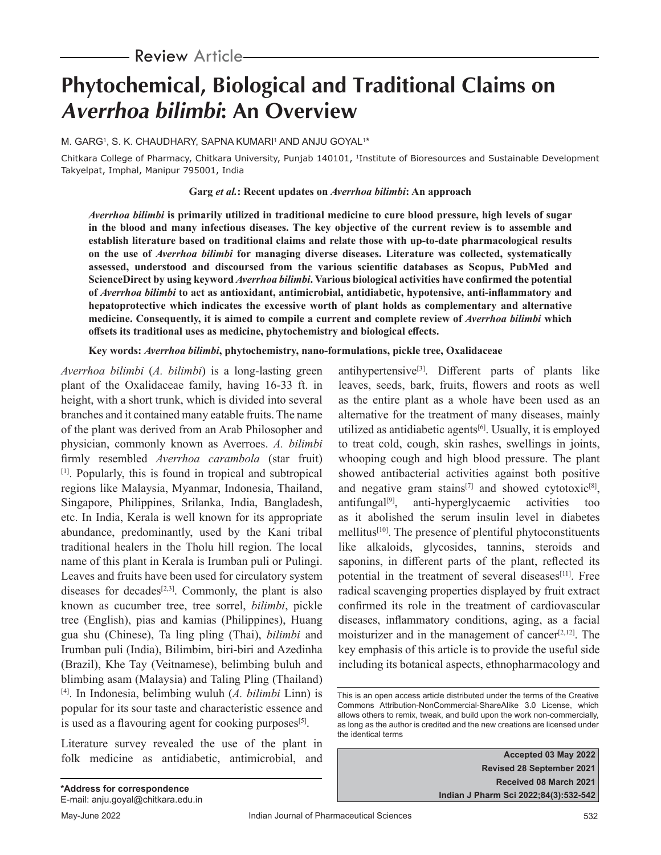# **Phytochemical, Biological and Traditional Claims on Averrhoa bilimbi: An Overview**

M. GARGʻ, S. K. CHAUDHARY, SAPNA KUMARIʻ AND ANJU GOYALʻ\*

Chitkara College of Pharmacy, Chitkara University, Punjab 140101, <sup>1</sup>Institute of Bioresources and Sustainable Development Takyelpat, Imphal, Manipur 795001, India

# **Garg** *et al.***: Recent updates on** *Averrhoa bilimbi***: An approach**

*Averrhoa bilimbi* **is primarily utilized in traditional medicine to cure blood pressure, high levels of sugar in the blood and many infectious diseases. The key objective of the current review is to assemble and establish literature based on traditional claims and relate those with up-to-date pharmacological results on the use of** *Averrhoa bilimbi* **for managing diverse diseases. Literature was collected, systematically assessed, understood and discoursed from the various scientific databases as Scopus, PubMed and ScienceDirect by using keyword** *Averrhoa bilimbi***. Various biological activities have confirmed the potential of** *Averrhoa bilimbi* **to act as antioxidant, antimicrobial, antidiabetic, hypotensive, anti-inflammatory and hepatoprotective which indicates the excessive worth of plant holds as complementary and alternative medicine. Consequently, it is aimed to compile a current and complete review of** *Averrhoa bilimbi* **which offsets its traditional uses as medicine, phytochemistry and biological effects.**

**Key words:** *Averrhoa bilimbi***, phytochemistry, nano-formulations, pickle tree, Oxalidaceae**

*Averrhoa bilimbi* (*A. bilimbi*) is a long-lasting green plant of the Oxalidaceae family, having 16-33 ft. in height, with a short trunk, which is divided into several branches and it contained many eatable fruits. The name of the plant was derived from an Arab Philosopher and physician, commonly known as Averroes. *A. bilimbi* firmly resembled *Averrhoa carambola* (star fruit) [1]. Popularly, this is found in tropical and subtropical regions like Malaysia, Myanmar, Indonesia, Thailand, Singapore, Philippines, Srilanka, India, Bangladesh, etc. In India, Kerala is well known for its appropriate abundance, predominantly, used by the Kani tribal traditional healers in the Tholu hill region. The local name of this plant in Kerala is Irumban puli or Pulingi. Leaves and fruits have been used for circulatory system diseases for decades<sup>[2,3]</sup>. Commonly, the plant is also known as cucumber tree, tree sorrel, *bilimbi*, pickle tree (English), pias and kamias (Philippines), Huang gua shu (Chinese), Ta ling pling (Thai), *bilimbi* and Irumban puli (India), Bilimbim, biri-biri and Azedinha (Brazil), Khe Tay (Veitnamese), belimbing buluh and blimbing asam (Malaysia) and Taling Pling (Thailand) [4]. In Indonesia, belimbing wuluh (*A. bilimbi* Linn) is popular for its sour taste and characteristic essence and is used as a flavouring agent for cooking purposes $[5]$ .

Literature survey revealed the use of the plant in folk medicine as antidiabetic, antimicrobial, and leaves, seeds, bark, fruits, flowers and roots as well as the entire plant as a whole have been used as an alternative for the treatment of many diseases, mainly utilized as antidiabetic agents[6]. Usually, it is employed to treat cold, cough, skin rashes, swellings in joints, whooping cough and high blood pressure. The plant showed antibacterial activities against both positive and negative gram stains<sup>[7]</sup> and showed cytotoxic<sup>[8]</sup>, antifungal $[9]$ , anti-hyperglycaemic activities too as it abolished the serum insulin level in diabetes mellitus<sup>[10]</sup>. The presence of plentiful phytoconstituents like alkaloids, glycosides, tannins, steroids and saponins, in different parts of the plant, reflected its potential in the treatment of several diseases<sup>[11]</sup>. Free radical scavenging properties displayed by fruit extract confirmed its role in the treatment of cardiovascular diseases, inflammatory conditions, aging, as a facial moisturizer and in the management of cancer<sup>[2,12]</sup>. The key emphasis of this article is to provide the useful side including its botanical aspects, ethnopharmacology and

antihypertensive $[3]$ . Different parts of plants like

This is an open access article distributed under the terms of the Creative Commons Attribution-NonCommercial-ShareAlike 3.0 License, which allows others to remix, tweak, and build upon the work non-commercially, as long as the author is credited and the new creations are licensed under the identical terms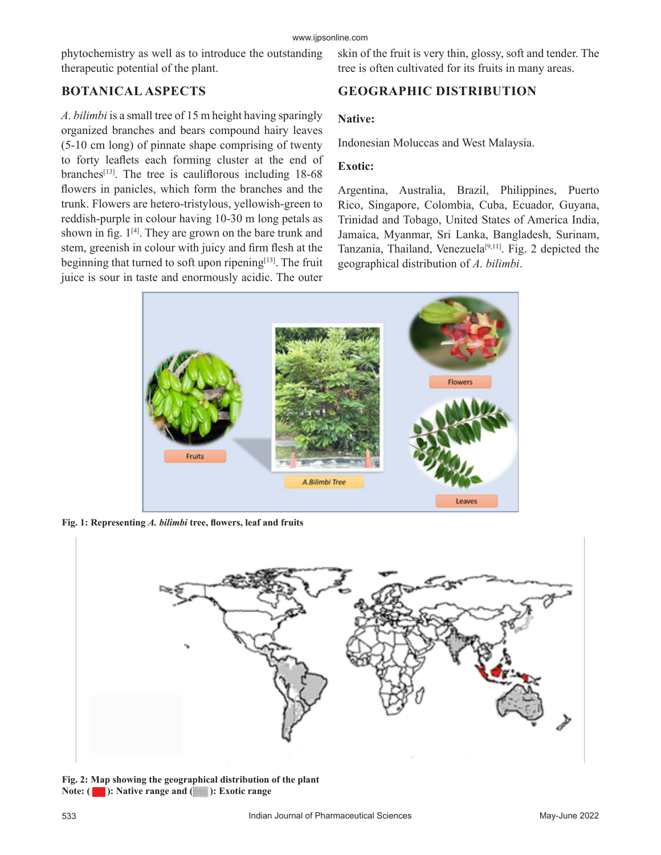phytochemistry as well as to introduce the outstanding therapeutic potential of the plant.

# **BOTANICAL ASPECTS**

*A. bilimbi* is a small tree of 15 m height having sparingly organized branches and bears compound hairy leaves (5-10 cm long) of pinnate shape comprising of twenty to forty leaflets each forming cluster at the end of branches<sup>[13]</sup>. The tree is cauliflorous including 18-68 flowers in panicles, which form the branches and the trunk. Flowers are hetero-tristylous, yellowish-green to reddish-purple in colour having 10-30 m long petals as shown in fig. 1<sup>[4]</sup>. They are grown on the bare trunk and stem, greenish in colour with juicy and firm flesh at the beginning that turned to soft upon ripening<sup>[13]</sup>. The fruit juice is sour in taste and enormously acidic. The outer skin of the fruit is very thin, glossy, soft and tender. The tree is often cultivated for its fruits in many areas.

# **GEOGRAPHIC DISTRIBUTION**

# **Native:**

Indonesian Moluccas and West Malaysia.

# **Exotic:**

Argentina, Australia, Brazil, Philippines, Puerto Rico, Singapore, Colombia, Cuba, Ecuador, Guyana, Trinidad and Tobago, United States of America India, Jamaica, Myanmar, Sri Lanka, Bangladesh, Surinam, Tanzania, Thailand, Venezuela<sup>[9,11]</sup>. Fig. 2 depicted the geographical distribution of *A. bilimbi*.



**Fig. 1: Representing** *A. bilimbi* **tree, flowers, leaf and fruits**



**Fig. 2: Map showing the geographical distribution of the plant Note: ( ): Native range and ( ): Exotic range**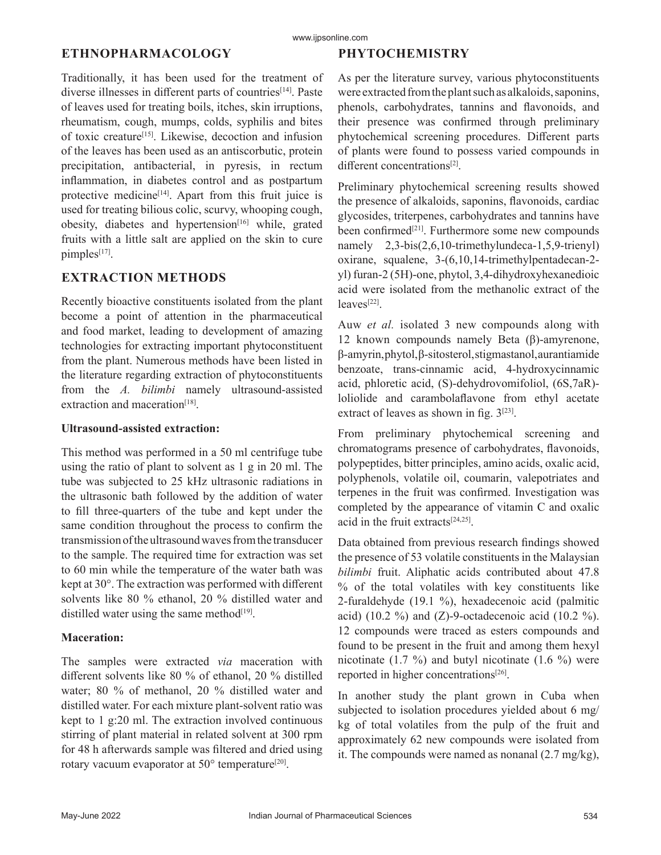#### www.ijpsonline.com

**PHYTOCHEMISTRY**

# **ETHNOPHARMACOLOGY**

Traditionally, it has been used for the treatment of diverse illnesses in different parts of countries<sup>[14]</sup>. Paste of leaves used for treating boils, itches, skin irruptions, rheumatism, cough, mumps, colds, syphilis and bites of toxic creature[15]. Likewise, decoction and infusion of the leaves has been used as an antiscorbutic, protein precipitation, antibacterial, in pyresis, in rectum inflammation, in diabetes control and as postpartum protective medicine<sup>[14]</sup>. Apart from this fruit juice is used for treating bilious colic, scurvy, whooping cough, obesity, diabetes and hypertension $[16]$  while, grated fruits with a little salt are applied on the skin to cure pimples<sup>[17]</sup>.

# **EXTRACTION METHODS**

Recently bioactive constituents isolated from the plant become a point of attention in the pharmaceutical and food market, leading to development of amazing technologies for extracting important phytoconstituent from the plant. Numerous methods have been listed in the literature regarding extraction of phytoconstituents from the *A. bilimbi* namely ultrasound-assisted extraction and maceration $[18]$ .

### **Ultrasound-assisted extraction:**

This method was performed in a 50 ml centrifuge tube using the ratio of plant to solvent as 1 g in 20 ml. The tube was subjected to 25 kHz ultrasonic radiations in the ultrasonic bath followed by the addition of water to fill three-quarters of the tube and kept under the same condition throughout the process to confirm the transmission of the ultrasound waves from the transducer to the sample. The required time for extraction was set to 60 min while the temperature of the water bath was kept at 30°. The extraction was performed with different solvents like 80 % ethanol, 20 % distilled water and distilled water using the same method $[19]$ .

### **Maceration:**

The samples were extracted *via* maceration with different solvents like 80 % of ethanol, 20 % distilled water; 80 % of methanol, 20 % distilled water and distilled water. For each mixture plant-solvent ratio was kept to 1 g:20 ml. The extraction involved continuous stirring of plant material in related solvent at 300 rpm for 48 h afterwards sample was filtered and dried using rotary vacuum evaporator at  $50^{\circ}$  temperature<sup>[20]</sup>.

As per the literature survey, various phytoconstituents were extracted from the plant such as alkaloids, saponins, phenols, carbohydrates, tannins and flavonoids, and their presence was confirmed through preliminary phytochemical screening procedures. Different parts of plants were found to possess varied compounds in different concentrations<sup>[2]</sup>.

Preliminary phytochemical screening results showed the presence of alkaloids, saponins, flavonoids, cardiac glycosides, triterpenes, carbohydrates and tannins have been confirmed<sup>[21]</sup>. Furthermore some new compounds namely 2,3-bis(2,6,10-trimethylundeca-1,5,9-trienyl) oxirane, squalene, 3-(6,10,14-trimethylpentadecan-2 yl) furan-2 (5H)-one, phytol, 3,4-dihydroxyhexanedioic acid were isolated from the methanolic extract of the leaves[22].

Auw *et al.* isolated 3 new compounds along with 12 known compounds namely Beta (β)-amyrenone, β-amyrin, phytol, β-sitosterol, stigmastanol, aurantiamide benzoate, trans-cinnamic acid, 4-hydroxycinnamic acid, phloretic acid, (S)-dehydrovomifoliol, (6S,7aR) loliolide and carambolaflavone from ethyl acetate extract of leaves as shown in fig.  $3^{[23]}$ .

From preliminary phytochemical screening and chromatograms presence of carbohydrates, flavonoids, polypeptides, bitter principles, amino acids, oxalic acid, polyphenols, volatile oil, coumarin, valepotriates and terpenes in the fruit was confirmed. Investigation was completed by the appearance of vitamin C and oxalic acid in the fruit extracts[24,25].

Data obtained from previous research findings showed the presence of 53 volatile constituents in the Malaysian *bilimbi* fruit. Aliphatic acids contributed about 47.8 % of the total volatiles with key constituents like 2-furaldehyde (19.1 %), hexadecenoic acid (palmitic acid) (10.2 %) and (Z)-9-octadecenoic acid (10.2 %). 12 compounds were traced as esters compounds and found to be present in the fruit and among them hexyl nicotinate (1.7 %) and butyl nicotinate (1.6 %) were reported in higher concentrations<sup>[26]</sup>.

In another study the plant grown in Cuba when subjected to isolation procedures yielded about 6 mg/ kg of total volatiles from the pulp of the fruit and approximately 62 new compounds were isolated from it. The compounds were named as nonanal  $(2.7 \text{ mg/kg})$ ,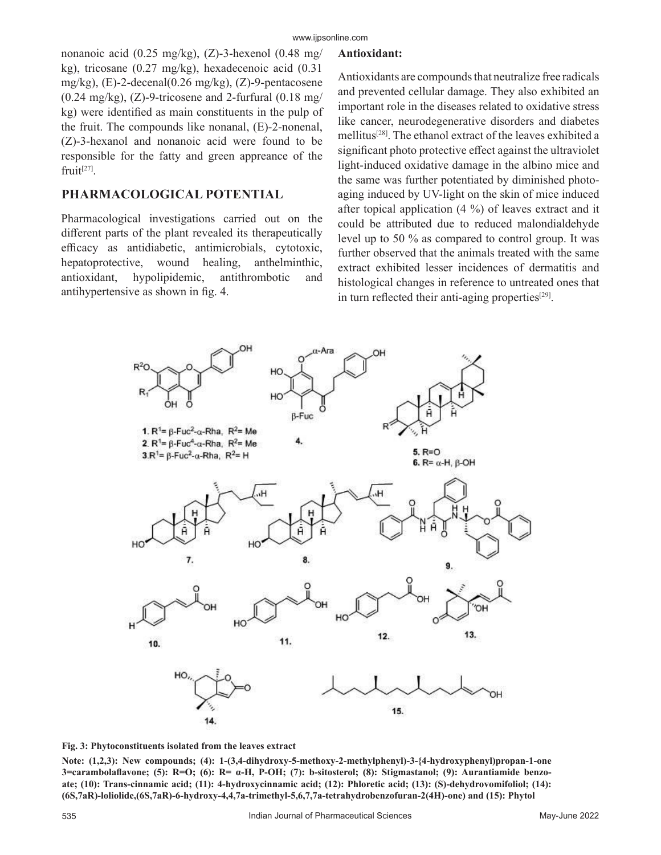#### **Antioxidant:**

nonanoic acid (0.25 mg/kg), (Z)-3-hexenol (0.48 mg/ kg), tricosane (0.27 mg/kg), hexadecenoic acid (0.31 mg/kg), (E)-2-decenal(0.26 mg/kg), (Z)-9-pentacosene  $(0.24 \text{ mg/kg})$ ,  $(Z)$ -9-tricosene and 2-furfural  $(0.18 \text{ mg/s})$ kg) were identified as main constituents in the pulp of the fruit. The compounds like nonanal, (E)-2-nonenal, (Z)-3-hexanol and nonanoic acid were found to be responsible for the fatty and green appreance of the fruit<sup>[27]</sup>.

### **PHARMACOLOGICAL POTENTIAL**

Pharmacological investigations carried out on the different parts of the plant revealed its therapeutically efficacy as antidiabetic, antimicrobials, cytotoxic, hepatoprotective, wound healing, anthelminthic, antioxidant, hypolipidemic, antithrombotic and antihypertensive as shown in fig. 4.

Antioxidants are compounds that neutralize free radicals and prevented cellular damage. They also exhibited an important role in the diseases related to oxidative stress like cancer, neurodegenerative disorders and diabetes mellitus[28]. The ethanol extract of the leaves exhibited a significant photo protective effect against the ultraviolet light-induced oxidative damage in the albino mice and the same was further potentiated by diminished photoaging induced by UV-light on the skin of mice induced after topical application (4 %) of leaves extract and it could be attributed due to reduced malondialdehyde level up to 50 % as compared to control group. It was further observed that the animals treated with the same extract exhibited lesser incidences of dermatitis and histological changes in reference to untreated ones that in turn reflected their anti-aging properties $[29]$ .



**Fig. 3: Phytoconstituents isolated from the leaves extract** 

**Note: (1,2,3): New compounds; (4): 1-(3,4-dihydroxy-5-methoxy-2-methylphenyl)-3-{4-hydroxyphenyl)propan-1-one 3=carambolaflavone; (5): R=O; (6): R= α-H, P-OH; (7): b-sitosterol; (8): Stigmastanol; (9): Aurantiamide benzoate; (10): Trans-cinnamic acid; (11): 4-hydroxycinnamic acid; (12): Phloretic acid; (13): (S)-dehydrovomifoliol; (14): (6S,7aR)-loliolide,(6S,7aR)-6-hydroxy-4,4,7a-trimethyl-5,6,7,7a-tetrahydrobenzofuran-2(4H)-one) and (15): Phytol**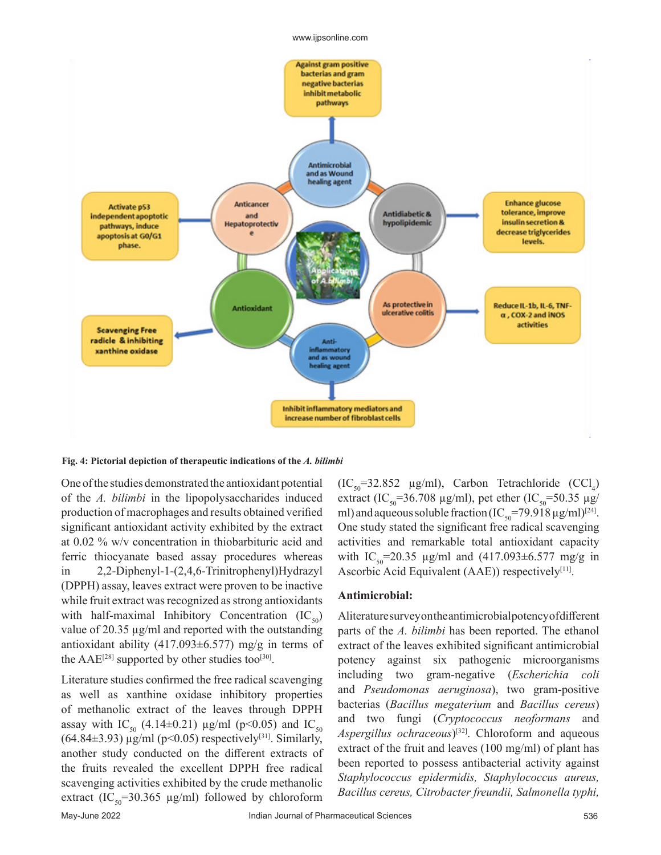

**Fig. 4: Pictorial depiction of therapeutic indications of the** *A. bilimbi*

One of the studies demonstrated the antioxidant potential of the *A. bilimbi* in the lipopolysaccharides induced production of macrophages and results obtained verified significant antioxidant activity exhibited by the extract at 0.02 % w/v concentration in thiobarbituric acid and ferric thiocyanate based assay procedures whereas in 2,2-Diphenyl-1-(2,4,6-Trinitrophenyl)Hydrazyl (DPPH) assay, leaves extract were proven to be inactive while fruit extract was recognized as strong antioxidants with half-maximal Inhibitory Concentration  $(IC_{50})$ value of 20.35 µg/ml and reported with the outstanding antioxidant ability (417.093 $\pm$ 6.577) mg/g in terms of the  $AAE^{[28]}$  supported by other studies too<sup>[30]</sup>.

Literature studies confirmed the free radical scavenging as well as xanthine oxidase inhibitory properties of methanolic extract of the leaves through DPPH assay with IC<sub>50</sub> (4.14±0.21) µg/ml (p<0.05) and IC<sub>50</sub>  $(64.84\pm3.93)$  µg/ml (p<0.05) respectively<sup>[31]</sup>. Similarly, another study conducted on the different extracts of the fruits revealed the excellent DPPH free radical scavenging activities exhibited by the crude methanolic extract (IC<sub>50</sub>=30.365 µg/ml) followed by chloroform

 $(IC_{50} = 32.852 \text{ µg/ml})$ , Carbon Tetrachloride  $(CCl_4)$ extract (IC<sub>50</sub>=36.708 µg/ml), pet ether (IC<sub>50</sub>=50.35 µg/ ml) and aqueous soluble fraction  $(IC_{50} = 79.918 \,\mu g/ml)^{[24]}$ . One study stated the significant free radical scavenging activities and remarkable total antioxidant capacity with  $IC_{50}$ =20.35 µg/ml and (417.093±6.577 mg/g in Ascorbic Acid Equivalent  $(AAE)$ ) respectively<sup>[11]</sup>.

#### **Antimicrobial:**

A literature survey on the antimicrobial potency of different parts of the *A. bilimbi* has been reported. The ethanol extract of the leaves exhibited significant antimicrobial potency against six pathogenic microorganisms including two gram-negative (*Escherichia coli* and *Pseudomonas aeruginosa*), two gram-positive bacterias (*Bacillus megaterium* and *Bacillus cereus*) and two fungi (*Cryptococcus neoformans* and *Aspergillus ochraceous*)[32]. Chloroform and aqueous extract of the fruit and leaves (100 mg/ml) of plant has been reported to possess antibacterial activity against *Staphylococcus epidermidis, Staphylococcus aureus, Bacillus cereus, Citrobacter freundii, Salmonella typhi,*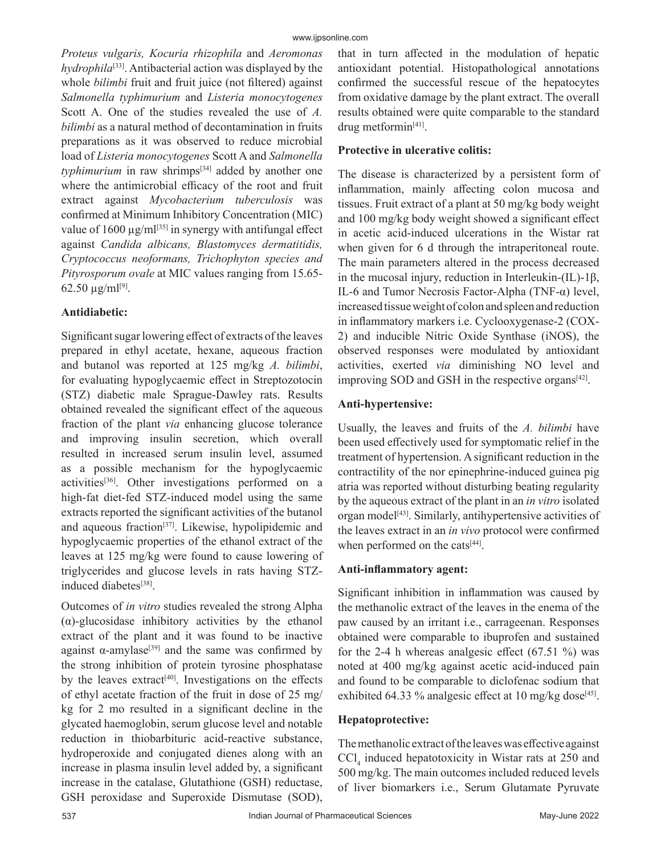*Proteus vulgaris, Kocuria rhizophila* and *Aeromonas hydrophila*[33]. Antibacterial action was displayed by the whole *bilimbi* fruit and fruit juice (not filtered) against *Salmonella typhimurium* and *Listeria monocytogenes* Scott A. One of the studies revealed the use of *A. bilimbi* as a natural method of decontamination in fruits preparations as it was observed to reduce microbial load of *Listeria monocytogenes* Scott A and *Salmonella*  typhimurium in raw shrimps<sup>[34]</sup> added by another one where the antimicrobial efficacy of the root and fruit extract against *Mycobacterium tuberculosis* was confirmed at Minimum Inhibitory Concentration (MIC) value of 1600  $\mu$ g/ml<sup>[35]</sup> in synergy with antifungal effect against *Candida albicans, Blastomyces dermatitidis, Cryptococcus neoformans, Trichophyton species and Pityrosporum ovale* at MIC values ranging from 15.65-  $62.50 \mu g/ml^{[9]}$ .

# **Antidiabetic:**

Significant sugar lowering effect of extracts of the leaves prepared in ethyl acetate, hexane, aqueous fraction and butanol was reported at 125 mg/kg *A. bilimbi*, for evaluating hypoglycaemic effect in Streptozotocin (STZ) diabetic male Sprague-Dawley rats. Results obtained revealed the significant effect of the aqueous fraction of the plant *via* enhancing glucose tolerance and improving insulin secretion, which overall resulted in increased serum insulin level, assumed as a possible mechanism for the hypoglycaemic activities[36]. Other investigations performed on a high-fat diet-fed STZ-induced model using the same extracts reported the significant activities of the butanol and aqueous fraction<sup>[37]</sup>. Likewise, hypolipidemic and hypoglycaemic properties of the ethanol extract of the leaves at 125 mg/kg were found to cause lowering of triglycerides and glucose levels in rats having STZinduced diabetes<sup>[38]</sup>.

Outcomes of *in vitro* studies revealed the strong Alpha  $(\alpha)$ -glucosidase inhibitory activities by the ethanol extract of the plant and it was found to be inactive against  $\alpha$ -amylase<sup>[39]</sup> and the same was confirmed by the strong inhibition of protein tyrosine phosphatase by the leaves extract<sup>[40]</sup>. Investigations on the effects of ethyl acetate fraction of the fruit in dose of 25 mg/ kg for 2 mo resulted in a significant decline in the glycated haemoglobin, serum glucose level and notable reduction in thiobarbituric acid-reactive substance, hydroperoxide and conjugated dienes along with an increase in plasma insulin level added by, a significant increase in the catalase, Glutathione (GSH) reductase, GSH peroxidase and Superoxide Dismutase (SOD),

that in turn affected in the modulation of hepatic antioxidant potential. Histopathological annotations confirmed the successful rescue of the hepatocytes from oxidative damage by the plant extract. The overall results obtained were quite comparable to the standard drug metformin[41].

# **Protective in ulcerative colitis:**

The disease is characterized by a persistent form of inflammation, mainly affecting colon mucosa and tissues. Fruit extract of a plant at 50 mg/kg body weight and 100 mg/kg body weight showed a significant effect in acetic acid-induced ulcerations in the Wistar rat when given for 6 d through the intraperitoneal route. The main parameters altered in the process decreased in the mucosal injury, reduction in Interleukin-(IL)-1β, IL-6 and Tumor Necrosis Factor-Alpha (TNF-α) level, increased tissue weight of colon and spleen and reduction in inflammatory markers i.e. Cyclooxygenase-2 (COX-2) and inducible Nitric Oxide Synthase (iNOS), the observed responses were modulated by antioxidant activities, exerted *via* diminishing NO level and improving SOD and GSH in the respective organs<sup>[42]</sup>.

# **Anti-hypertensive:**

Usually, the leaves and fruits of the *A. bilimbi* have been used effectively used for symptomatic relief in the treatment of hypertension. A significant reduction in the contractility of the nor epinephrine-induced guinea pig atria was reported without disturbing beating regularity by the aqueous extract of the plant in an *in vitro* isolated organ model[43]. Similarly, antihypertensive activities of the leaves extract in an *in vivo* protocol were confirmed when performed on the cats<sup>[44]</sup>.

# **Anti-inflammatory agent:**

Significant inhibition in inflammation was caused by the methanolic extract of the leaves in the enema of the paw caused by an irritant i.e., carrageenan. Responses obtained were comparable to ibuprofen and sustained for the 2-4 h whereas analgesic effect  $(67.51 \%)$  was noted at 400 mg/kg against acetic acid-induced pain and found to be comparable to diclofenac sodium that exhibited 64.33 % analgesic effect at 10 mg/kg dose<sup>[45]</sup>.

# **Hepatoprotective:**

The methanolic extract of the leaves was effective against  $\text{CCl}_4$  induced hepatotoxicity in Wistar rats at 250 and 500 mg/kg. The main outcomes included reduced levels of liver biomarkers i.e., Serum Glutamate Pyruvate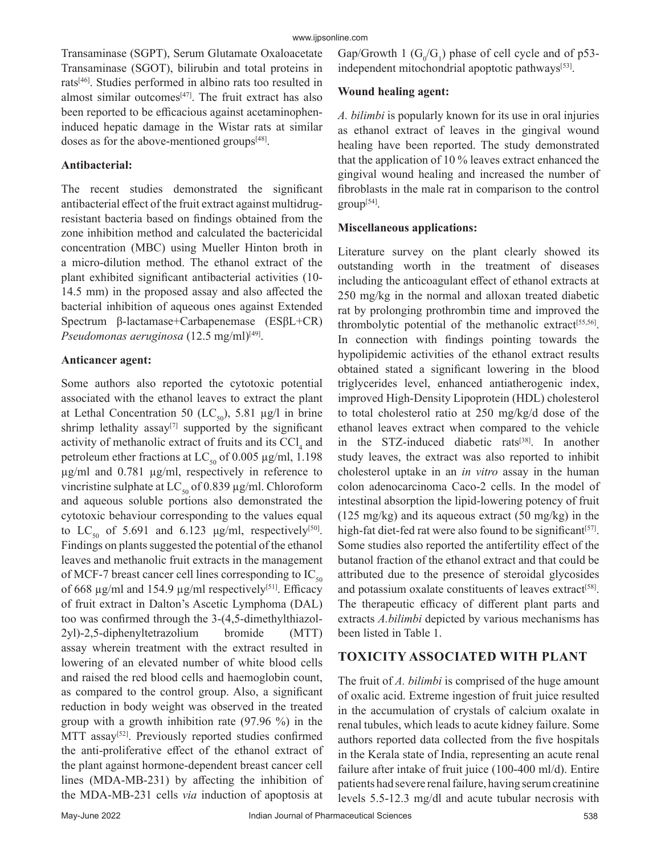Transaminase (SGPT), Serum Glutamate Oxaloacetate Transaminase (SGOT), bilirubin and total proteins in rats[46]. Studies performed in albino rats too resulted in almost similar outcomes $[47]$ . The fruit extract has also been reported to be efficacious against acetaminopheninduced hepatic damage in the Wistar rats at similar doses as for the above-mentioned groups<sup>[48]</sup>.

### **Antibacterial:**

The recent studies demonstrated the significant antibacterial effect of the fruit extract against multidrugresistant bacteria based on findings obtained from the zone inhibition method and calculated the bactericidal concentration (MBC) using Mueller Hinton broth in a micro-dilution method. The ethanol extract of the plant exhibited significant antibacterial activities (10- 14.5 mm) in the proposed assay and also affected the bacterial inhibition of aqueous ones against Extended Spectrum β-lactamase+Carbapenemase (ESβL+CR) *Pseudomonas aeruginosa* (12.5 mg/ml)[49].

#### **Anticancer agent:**

Some authors also reported the cytotoxic potential associated with the ethanol leaves to extract the plant at Lethal Concentration 50 (LC<sub>50</sub>), 5.81 µg/l in brine shrimp lethality assay<sup>[7]</sup> supported by the significant activity of methanolic extract of fruits and its  $\text{CCl}_4$  and petroleum ether fractions at LC<sub>50</sub> of 0.005 µg/ml, 1.198 µg/ml and 0.781 µg/ml, respectively in reference to vincristine sulphate at  $LC_{50}$  of 0.839 µg/ml. Chloroform and aqueous soluble portions also demonstrated the cytotoxic behaviour corresponding to the values equal to  $LC_{50}$  of 5.691 and 6.123 μg/ml, respectively<sup>[50]</sup>. Findings on plants suggested the potential of the ethanol leaves and methanolic fruit extracts in the management of MCF-7 breast cancer cell lines corresponding to  $IC_{50}$ of 668  $\mu$ g/ml and 154.9  $\mu$ g/ml respectively<sup>[51]</sup>. Efficacy of fruit extract in Dalton's Ascetic Lymphoma (DAL) too was confirmed through the 3-(4,5-dimethylthiazol-2yl)-2,5-diphenyltetrazolium bromide (MTT) assay wherein treatment with the extract resulted in lowering of an elevated number of white blood cells and raised the red blood cells and haemoglobin count, as compared to the control group. Also, a significant reduction in body weight was observed in the treated group with a growth inhibition rate (97.96 %) in the MTT assay<sup>[52]</sup>. Previously reported studies confirmed the anti-proliferative effect of the ethanol extract of the plant against hormone-dependent breast cancer cell lines (MDA-MB-231) by affecting the inhibition of the MDA-MB-231 cells *via* induction of apoptosis at

#### **Wound healing agent:**

*A. bilimbi* is popularly known for its use in oral injuries as ethanol extract of leaves in the gingival wound healing have been reported. The study demonstrated that the application of 10 % leaves extract enhanced the gingival wound healing and increased the number of fibroblasts in the male rat in comparison to the control  $group^{[54]}$ .

#### **Miscellaneous applications:**

Literature survey on the plant clearly showed its outstanding worth in the treatment of diseases including the anticoagulant effect of ethanol extracts at 250 mg/kg in the normal and alloxan treated diabetic rat by prolonging prothrombin time and improved the thrombolytic potential of the methanolic extract<sup>[55,56]</sup>. In connection with findings pointing towards the hypolipidemic activities of the ethanol extract results obtained stated a significant lowering in the blood triglycerides level, enhanced antiatherogenic index, improved High-Density Lipoprotein (HDL) cholesterol to total cholesterol ratio at 250 mg/kg/d dose of the ethanol leaves extract when compared to the vehicle in the STZ-induced diabetic rats<sup>[38]</sup>. In another study leaves, the extract was also reported to inhibit cholesterol uptake in an *in vitro* assay in the human colon adenocarcinoma Caco-2 cells. In the model of intestinal absorption the lipid-lowering potency of fruit (125 mg/kg) and its aqueous extract (50 mg/kg) in the high-fat diet-fed rat were also found to be significant<sup>[57]</sup>. Some studies also reported the antifertility effect of the butanol fraction of the ethanol extract and that could be attributed due to the presence of steroidal glycosides and potassium oxalate constituents of leaves extract<sup>[58]</sup>. The therapeutic efficacy of different plant parts and extracts *A.bilimbi* depicted by various mechanisms has been listed in Table 1.

# **TOXICITY ASSOCIATED WITH PLANT**

The fruit of *A. bilimbi* is comprised of the huge amount of oxalic acid. Extreme ingestion of fruit juice resulted in the accumulation of crystals of calcium oxalate in renal tubules, which leads to acute kidney failure. Some authors reported data collected from the five hospitals in the Kerala state of India, representing an acute renal failure after intake of fruit juice (100-400 ml/d). Entire patients had severe renal failure, having serum creatinine levels 5.5-12.3 mg/dl and acute tubular necrosis with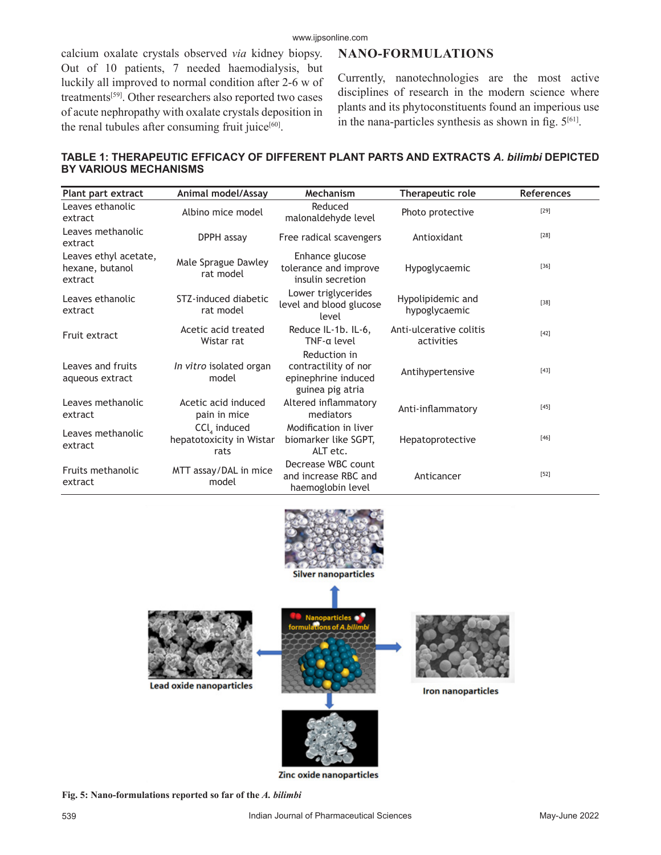calcium oxalate crystals observed *via* kidney biopsy. Out of 10 patients, 7 needed haemodialysis, but luckily all improved to normal condition after 2-6 w of treatments[59]. Other researchers also reported two cases of acute nephropathy with oxalate crystals deposition in the renal tubules after consuming fruit juice $[60]$ .

# **NANO-FORMULATIONS**

Currently, nanotechnologies are the most active disciplines of research in the modern science where plants and its phytoconstituents found an imperious use in the nana-particles synthesis as shown in fig.  $5^{[61]}$ .

# **TABLE 1: THERAPEUTIC EFFICACY OF DIFFERENT PLANT PARTS AND EXTRACTS** *A. bilimbi* **DEPICTED BY VARIOUS MECHANISMS**

| Plant part extract                                  | Animal model/Assay                                 | Mechanism                                                                       | Therapeutic role                      | <b>References</b> |
|-----------------------------------------------------|----------------------------------------------------|---------------------------------------------------------------------------------|---------------------------------------|-------------------|
| Leaves ethanolic<br>extract                         | Albino mice model                                  | Reduced<br>malonaldehyde level                                                  | Photo protective                      | $[29]$            |
| Leaves methanolic<br>extract                        | DPPH assay                                         | Free radical scavengers                                                         | Antioxidant                           | $[28]$            |
| Leaves ethyl acetate,<br>hexane, butanol<br>extract | Male Sprague Dawley<br>rat model                   | Enhance glucose<br>tolerance and improve<br>insulin secretion                   | Hypoglycaemic                         | $[36]$            |
| Leaves ethanolic<br>extract                         | STZ-induced diabetic<br>rat model                  | Lower triglycerides<br>level and blood glucose<br>level                         | Hypolipidemic and<br>hypoglycaemic    | $[38]$            |
| Fruit extract                                       | Acetic acid treated<br>Wistar rat                  | Reduce IL-1b. IL-6,<br>$TNF$ -a level                                           | Anti-ulcerative colitis<br>activities | $[42]$            |
| Leaves and fruits<br>aqueous extract                | In vitro isolated organ<br>model                   | Reduction in<br>contractility of nor<br>epinephrine induced<br>guinea pig atria | Antihypertensive                      | $[43]$            |
| Leaves methanolic<br>extract                        | Acetic acid induced<br>pain in mice                | Altered inflammatory<br>mediators                                               | Anti-inflammatory                     | $[45]$            |
| Leaves methanolic<br>extract                        | $CClA$ induced<br>hepatotoxicity in Wistar<br>rats | Modification in liver<br>biomarker like SGPT,<br>ALT etc.                       | Hepatoprotective                      | $[46]$            |
| Fruits methanolic<br>extract                        | MTT assay/DAL in mice<br>model                     | Decrease WBC count<br>and increase RBC and<br>haemoglobin level                 | Anticancer                            | $[52]$            |





**Zinc oxide nanoparticles** 

**Fig. 5: Nano-formulations reported so far of the** *A. bilimbi*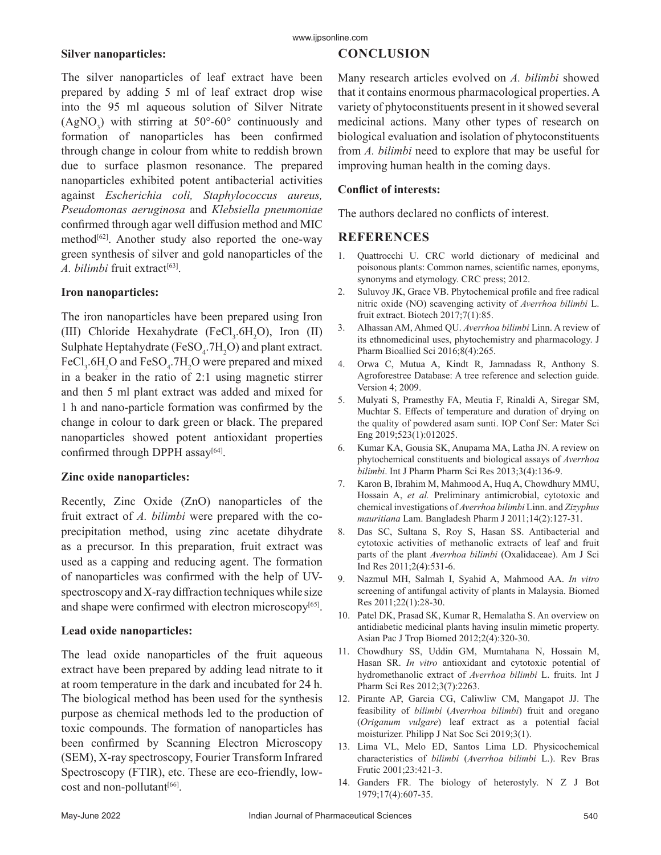### **Silver nanoparticles:**

# **CONCLUSION**

The silver nanoparticles of leaf extract have been prepared by adding 5 ml of leaf extract drop wise into the 95 ml aqueous solution of Silver Nitrate  $(AgNO<sub>3</sub>)$  with stirring at 50°-60° continuously and formation of nanoparticles has been confirmed through change in colour from white to reddish brown due to surface plasmon resonance. The prepared nanoparticles exhibited potent antibacterial activities against *Escherichia coli, Staphylococcus aureus, Pseudomonas aeruginosa* and *Klebsiella pneumoniae*  confirmed through agar well diffusion method and MIC method $[62]$ . Another study also reported the one-way green synthesis of silver and gold nanoparticles of the *A. bilimbi* fruit extract<sup>[63]</sup>.

### **Iron nanoparticles:**

The iron nanoparticles have been prepared using Iron (III) Chloride Hexahydrate (FeCl<sub>3</sub>.6H<sub>2</sub>O), Iron (II) Sulphate Heptahydrate ( $\text{FeSO}_4$ .7H<sub>2</sub>O) and plant extract. FeCl<sub>3</sub>.6H<sub>2</sub>O and FeSO<sub>4</sub>.7H<sub>2</sub>O were prepared and mixed in a beaker in the ratio of 2:1 using magnetic stirrer and then 5 ml plant extract was added and mixed for 1 h and nano-particle formation was confirmed by the change in colour to dark green or black. The prepared nanoparticles showed potent antioxidant properties confirmed through DPPH assay<sup>[64]</sup>.

### **Zinc oxide nanoparticles:**

Recently, Zinc Oxide (ZnO) nanoparticles of the fruit extract of *A. bilimbi* were prepared with the coprecipitation method, using zinc acetate dihydrate as a precursor. In this preparation, fruit extract was used as a capping and reducing agent. The formation of nanoparticles was confirmed with the help of UVspectroscopy and X-ray diffraction techniques while size and shape were confirmed with electron microscopy $[65]$ .

### **Lead oxide nanoparticles:**

The lead oxide nanoparticles of the fruit aqueous extract have been prepared by adding lead nitrate to it at room temperature in the dark and incubated for 24 h. The biological method has been used for the synthesis purpose as chemical methods led to the production of toxic compounds. The formation of nanoparticles has been confirmed by Scanning Electron Microscopy (SEM), X-ray spectroscopy, Fourier Transform Infrared Spectroscopy (FTIR), etc. These are eco-friendly, lowcost and non-pollutant<sup>[66]</sup>.

Many research articles evolved on *A. bilimbi* showed that it contains enormous pharmacological properties. A variety of phytoconstituents present in it showed several medicinal actions. Many other types of research on biological evaluation and isolation of phytoconstituents from *A. bilimbi* need to explore that may be useful for improving human health in the coming days.

### **Conflict of interests:**

The authors declared no conflicts of interest.

# **REFERENCES**

- 1. Quattrocchi U. CRC world dictionary of medicinal and poisonous plants: Common names, scientific names, eponyms, synonyms and etymology. CRC press; 2012.
- 2. Suluvoy JK, Grace VB. [Phytochemical profile and free radical](https://link.springer.com/article/10.1007/s13205-017-0678-9) [nitric oxide \(NO\) scavenging activity of](https://link.springer.com/article/10.1007/s13205-017-0678-9) *Averrhoa bilimbi* L. [fruit extract](https://link.springer.com/article/10.1007/s13205-017-0678-9). Biotech 2017;7(1):85.
- 3. Alhassan AM, Ahmed QU. *Averrhoa bilimbi* [Linn. A review of](https://www.jpbsonline.org/article.asp?issn=0975-7406;year=2016;volume=8;issue=4;spage=265;epage=271;aulast=Alhassan) [its ethnomedicinal uses, phytochemistry and pharmacology.](https://www.jpbsonline.org/article.asp?issn=0975-7406;year=2016;volume=8;issue=4;spage=265;epage=271;aulast=Alhassan) J Pharm Bioallied Sci 2016;8(4):265.
- 4. Orwa C, Mutua A, Kindt R, Jamnadass R, Anthony S. Agroforestree Database: A tree reference and selection guide. Version 4; 2009.
- 5. Mulyati S, Pramesthy FA, Meutia F, Rinaldi A, Siregar SM, Muchtar S. [Effects of temperature and duration of drying on](https://iopscience.iop.org/article/10.1088/1757-899X/523/1/012025/meta) [the quality of powdered asam sunti](https://iopscience.iop.org/article/10.1088/1757-899X/523/1/012025/meta). IOP Conf Ser: Mater Sci Eng 2019;523(1):012025.
- 6. Kumar KA, Gousia SK, Anupama MA, Latha JN. [A review on](https://www.researchgate.net/profile/Jeevigunta-Naveena-Lavanya-Latha/publication/322701172_A_review_on_phytochemical_constituents_and_biological_assays_of_Averrhoa_bilimbi/links/5a6a989aaca2725b1c1bd0ce/A-review-on-phytochemical-constituents-and-biologica) [phytochemical constituents and biological assays of](https://www.researchgate.net/profile/Jeevigunta-Naveena-Lavanya-Latha/publication/322701172_A_review_on_phytochemical_constituents_and_biological_assays_of_Averrhoa_bilimbi/links/5a6a989aaca2725b1c1bd0ce/A-review-on-phytochemical-constituents-and-biologica) *Averrhoa [bilimbi](https://www.researchgate.net/profile/Jeevigunta-Naveena-Lavanya-Latha/publication/322701172_A_review_on_phytochemical_constituents_and_biological_assays_of_Averrhoa_bilimbi/links/5a6a989aaca2725b1c1bd0ce/A-review-on-phytochemical-constituents-and-biologica)*. Int J Pharm Pharm Sci Res 2013;3(4):136-9.
- 7. Karon B, Ibrahim M, Mahmood A, Huq A, Chowdhury MMU, Hossain A, *et al.* [Preliminary antimicrobial, cytotoxic and](https://www.researchgate.net/publication/228441345_Preliminary_Antimicrobial_Cytotoxic_and_Chemical_Investigations_of_Averrhoa_bilimbi_Linn_and_Zizyphus_mauritiana_Lam) [chemical investigations of](https://www.researchgate.net/publication/228441345_Preliminary_Antimicrobial_Cytotoxic_and_Chemical_Investigations_of_Averrhoa_bilimbi_Linn_and_Zizyphus_mauritiana_Lam) *Averrhoa bilimbi* Linn. and *Zizyphus [mauritiana](https://www.researchgate.net/publication/228441345_Preliminary_Antimicrobial_Cytotoxic_and_Chemical_Investigations_of_Averrhoa_bilimbi_Linn_and_Zizyphus_mauritiana_Lam)* Lam. Bangladesh Pharm J 2011;14(2):127-31.
- 8. Das SC, Sultana S, Roy S, Hasan SS. [Antibacterial and](https://www.researchgate.net/publication/261912814_Antibacterial_and_cytotoxic_activities_of_methanolic_extracts_of_leaf_and_fruit_parts_of_the_plant_Averrhoa_bilimbi_Oxalidaceae) [cytotoxic activities of methanolic extracts of leaf and fruit](https://www.researchgate.net/publication/261912814_Antibacterial_and_cytotoxic_activities_of_methanolic_extracts_of_leaf_and_fruit_parts_of_the_plant_Averrhoa_bilimbi_Oxalidaceae) [parts of the plant](https://www.researchgate.net/publication/261912814_Antibacterial_and_cytotoxic_activities_of_methanolic_extracts_of_leaf_and_fruit_parts_of_the_plant_Averrhoa_bilimbi_Oxalidaceae) *Averrhoa bilimbi* (Oxalidaceae). Am J Sci Ind Res 2011;2(4):531-6.
- 9. Nazmul MH, Salmah I, Syahid A, Mahmood AA. *[In vitro](https://www.researchgate.net/publication/216569838_In-vitro_screening_of_antifungal_activity_of_plants_in_Malaysia)* [screening of antifungal activity of plants in Malaysia. Biomed](https://www.researchgate.net/publication/216569838_In-vitro_screening_of_antifungal_activity_of_plants_in_Malaysia) [Res 2011;22\(1\):28-30.](https://www.researchgate.net/publication/216569838_In-vitro_screening_of_antifungal_activity_of_plants_in_Malaysia)
- 10. Patel DK, Prasad SK, Kumar R, Hemalatha S. [An overview on](https://www.sciencedirect.com/science/article/abs/pii/S222116911260032X?via%3Dihub) [antidiabetic medicinal plants having insulin mimetic property](https://www.sciencedirect.com/science/article/abs/pii/S222116911260032X?via%3Dihub). Asian Pac J Trop Biomed 2012;2(4):320-30.
- 11. Chowdhury SS, Uddin GM, Mumtahana N, Hossain M, Hasan SR. *In vitro* [antioxidant and cytotoxic potential of](https://ijpsr.com/bft-article/in-vitro-antioxidant-and-cytotoxic-potential-of-hydromethanolic-extract-of-averrhoa-bilimbi-l-fruits/) [hydromethanolic extract of](https://ijpsr.com/bft-article/in-vitro-antioxidant-and-cytotoxic-potential-of-hydromethanolic-extract-of-averrhoa-bilimbi-l-fruits/) *Averrhoa bilimbi* L. fruits. Int J Pharm Sci Res 2012;3(7):2263.
- 12. Pirante AP, Garcia CG, Caliwliw CM, Mangapot JJ. [The](https://www.paressu.org/online/index.php/pjnss/article/view/205) feasibility of *bilimbi* (*Averrhoa bilimbi*[\) fruit and oregano](https://www.paressu.org/online/index.php/pjnss/article/view/205) (*Origanum vulgare*[\) leaf extract as a potential facial](https://www.paressu.org/online/index.php/pjnss/article/view/205) [moisturizer.](https://www.paressu.org/online/index.php/pjnss/article/view/205) Philipp J Nat Soc Sci 2019;3(1).
- 13. Lima VL, Melo ED, Santos Lima LD. [Physicochemical](https://www.scielo.br/j/rbf/a/sRYBBRLVKTbJhCHsczDnsfH/?lang=en) [characteristics of](https://www.scielo.br/j/rbf/a/sRYBBRLVKTbJhCHsczDnsfH/?lang=en) *bilimbi* (*Averrhoa bilimbi* L.). Rev Bras Frutic 2001;23:421-3.
- 14. Ganders FR. [The biology of heterostyly](https://www.tandfonline.com/doi/abs/10.1080/0028825X.1979.10432574). N Z J Bot 1979;17(4):607-35.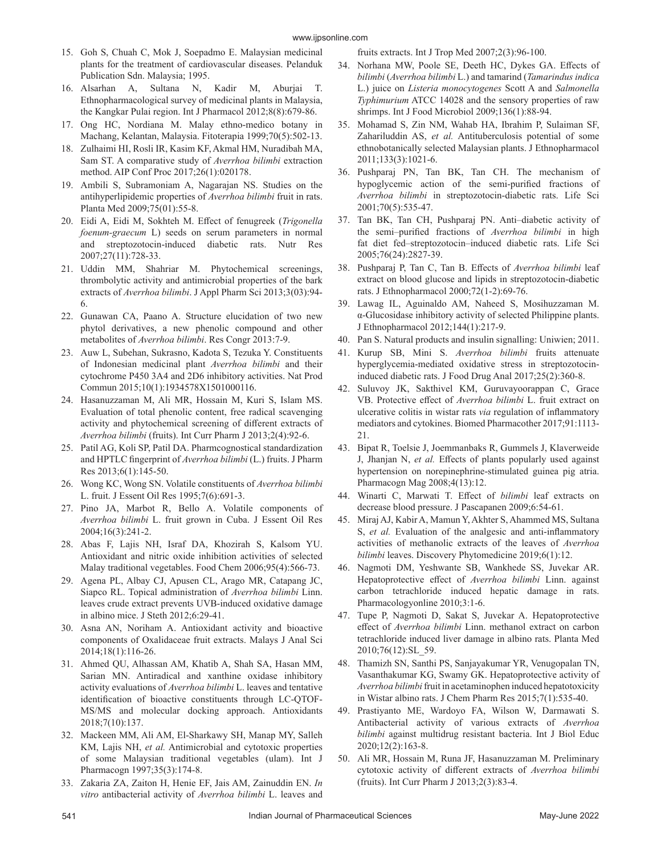- 15. Goh S, Chuah C, Mok J, Soepadmo E. Malaysian medicinal plants for the treatment of cardiovascular diseases. Pelanduk Publication Sdn. Malaysia; 1995.
- 16. Alsarhan A, Sultana N, Kadir M, Aburjai T. [Ethnopharmacological survey of medicinal plants in Malaysia,](https://scialert.net/abstract/?doi=ijp.2012.679.686)  [the Kangkar Pulai region.](https://scialert.net/abstract/?doi=ijp.2012.679.686) Int J Pharmacol 2012;8(8):679-86.
- 17. Ong HC, Nordiana M. [Malay ethno-medico botany in](https://www.sciencedirect.com/science/article/abs/pii/S0367326X99000775)  [Machang, Kelantan, Malaysia.](https://www.sciencedirect.com/science/article/abs/pii/S0367326X99000775) Fitoterapia 1999;70(5):502-13.
- 18. Zulhaimi HI, Rosli IR, Kasim KF, Akmal HM, Nuradibah MA, Sam ST. [A comparative study of](https://aip.scitation.org/doi/abs/10.1063/1.5002372) *Averrhoa bilimbi* extraction [method.](https://aip.scitation.org/doi/abs/10.1063/1.5002372) AIP Conf Proc 2017;26(1):020178.
- 19. Ambili S, Subramoniam A, Nagarajan NS. [Studies on the](https://www.thieme-connect.de/products/ejournals/abstract/10.1055/s-0028-1088361)  [antihyperlipidemic properties of](https://www.thieme-connect.de/products/ejournals/abstract/10.1055/s-0028-1088361) *Averrhoa bilimbi* fruit in rats. Planta Med 2009;75(01):55-8.
- 20. Eidi A, Eidi M, Sokhteh M. [Effect of fenugreek \(](https://www.sciencedirect.com/science/article/abs/pii/S0271531707002187)*Trigonella foenum-graecum* [L\) seeds on serum parameters in normal](https://www.sciencedirect.com/science/article/abs/pii/S0271531707002187)  [and streptozotocin-induced diabetic rats.](https://www.sciencedirect.com/science/article/abs/pii/S0271531707002187) Nutr Res 2007;27(11):728-33.
- 21. Uddin MM, Shahriar M. [Phytochemical screenings,](https://www.researchgate.net/publication/259311189_Phytochemical_screenings_thrombolytic_activity_and_antimicrobial_properties_of_the_bark_extracts_of_Averrhoa_bilimbi)  [thrombolytic activity and antimicrobial properties of the bark](https://www.researchgate.net/publication/259311189_Phytochemical_screenings_thrombolytic_activity_and_antimicrobial_properties_of_the_bark_extracts_of_Averrhoa_bilimbi)  extracts of *[Averrhoa bilimbi](https://www.researchgate.net/publication/259311189_Phytochemical_screenings_thrombolytic_activity_and_antimicrobial_properties_of_the_bark_extracts_of_Averrhoa_bilimbi)*. J Appl Pharm Sci 2013;3(03):94- 6.
- 22. Gunawan CA, Paano A. [Structure elucidation of two new](https://www.dlsu.edu.ph/wp-content/uploads/pdf/conferences/research-congress-proceedings/2013/FNH/FNH-I-008.pdf)  [phytol derivatives, a new phenolic compound and other](https://www.dlsu.edu.ph/wp-content/uploads/pdf/conferences/research-congress-proceedings/2013/FNH/FNH-I-008.pdf)  metabolites of *[Averrhoa bilimbi](https://www.dlsu.edu.ph/wp-content/uploads/pdf/conferences/research-congress-proceedings/2013/FNH/FNH-I-008.pdf)*. Res Congr 2013:7-9.
- 23. Auw L, Subehan, Sukrasno, Kadota S, Tezuka Y. [Constituents](https://journals.sagepub.com/doi/abs/10.1177/1934578X1501000116)  [of Indonesian medicinal plant](https://journals.sagepub.com/doi/abs/10.1177/1934578X1501000116) *Averrhoa bilimbi* and their [cytochrome P450 3A4 and 2D6 inhibitory activities.](https://journals.sagepub.com/doi/abs/10.1177/1934578X1501000116) Nat Prod Commun 2015;10(1):1934578X1501000116.
- 24. Hasanuzzaman M, Ali MR, Hossain M, Kuri S, Islam MS. [Evaluation of total phenolic content, free radical scavenging](https://www.banglajol.info/index.php/ICPJ/article/view/14058)  [activity and phytochemical screening of different extracts of](https://www.banglajol.info/index.php/ICPJ/article/view/14058)  *[Averrhoa bilimbi](https://www.banglajol.info/index.php/ICPJ/article/view/14058)* (fruits). Int Curr Pharm J 2013;2(4):92-6.
- 25. Patil AG, Koli SP, Patil DA. [Pharmcognostical standardization](https://www.sciencedirect.com/science/article/pii/S097469431200031X)  [and HPTLC fingerprint of](https://www.sciencedirect.com/science/article/pii/S097469431200031X) *Averrhoa bilimbi* (L.) fruits. J Pharm Res 2013;6(1):145-50.
- 26. Wong KC, Wong SN. [Volatile constituents of](https://www.tandfonline.com/doi/abs/10.1080/10412905.1995.9700533) *Averrhoa bilimbi* [L. fruit](https://www.tandfonline.com/doi/abs/10.1080/10412905.1995.9700533). J Essent Oil Res 1995;7(6):691-3.
- 27. Pino JA, Marbot R, Bello A. [Volatile components of](https://www.tandfonline.com/doi/abs/10.1080/10412905.2004.9698710?journalCode=tjeo20)  *Averrhoa bilimbi* [L. fruit grown in Cuba.](https://www.tandfonline.com/doi/abs/10.1080/10412905.2004.9698710?journalCode=tjeo20) J Essent Oil Res 2004;16(3):241-2.
- 28. Abas F, Lajis NH, Israf DA, Khozirah S, Kalsom YU. [Antioxidant and nitric oxide inhibition activities of selected](https://www.sciencedirect.com/science/article/abs/pii/S0308814605001226)  [Malay traditional vegetables](https://www.sciencedirect.com/science/article/abs/pii/S0308814605001226). Food Chem 2006;95(4):566-73.
- 29. Agena PL, Albay CJ, Apusen CL, Arago MR, Catapang JC, Siapco RL. [Topical administration of](http://research.lpubatangas.edu.ph/wp-content/uploads/2014/10/STETH-6.3.pdf) *Averrhoa bilimbi* Linn. [leaves crude extract prevents UVB-induced oxidative damage](http://research.lpubatangas.edu.ph/wp-content/uploads/2014/10/STETH-6.3.pdf)  [in albino mice](http://research.lpubatangas.edu.ph/wp-content/uploads/2014/10/STETH-6.3.pdf). J Steth 2012;6:29-41.
- 30. Asna AN, Noriham A. [Antioxidant activity and bioactive](http://mjas.analis.com.my/wp-content/uploads/2018/11/Noriham.pdf)  [components of Oxalidaceae fruit extracts.](http://mjas.analis.com.my/wp-content/uploads/2018/11/Noriham.pdf) Malays J Anal Sci 2014;18(1):116-26.
- 31. Ahmed QU, Alhassan AM, Khatib A, Shah SA, Hasan MM, Sarian MN. [Antiradical and xanthine oxidase inhibitory](https://www.mdpi.com/2076-3921/7/10/137)  [activity evaluations of](https://www.mdpi.com/2076-3921/7/10/137) *Averrhoa bilimbi* L. leaves and tentative [identification of bioactive constituents through LC-QTOF-](https://www.mdpi.com/2076-3921/7/10/137)[MS/MS and molecular docking approach](https://www.mdpi.com/2076-3921/7/10/137). Antioxidants 2018;7(10):137.
- 32. Mackeen MM, Ali AM, El-Sharkawy SH, Manap MY, Salleh KM, Lajis NH, *et al.* [Antimicrobial and cytotoxic properties](https://www.tandfonline.com/doi/abs/10.1076/phbi.35.3.174.13294)  [of some Malaysian traditional vegetables \(ulam\)](https://www.tandfonline.com/doi/abs/10.1076/phbi.35.3.174.13294). Int J Pharmacogn 1997;35(3):174-8.
- 33. Zakaria ZA, Zaiton H, Henie EF, Jais AM, Zainuddin EN. *[In](https://www.medwelljournals.com/abstract/?doi=ijtmed.2007.96.100#:~:text=The results obtained demonstrated the,against the Gram%2Dpositive S.)  vitro* [antibacterial activity of](https://www.medwelljournals.com/abstract/?doi=ijtmed.2007.96.100#:~:text=The results obtained demonstrated the,against the Gram%2Dpositive S.) *Averrhoa bilimbi* L. leaves and

[fruits extracts](https://www.medwelljournals.com/abstract/?doi=ijtmed.2007.96.100#:~:text=The results obtained demonstrated the,against the Gram%2Dpositive S.). Int J Trop Med 2007;2(3):96-100.

- 34. Norhana MW, Poole SE, Deeth HC, Dykes GA. [Effects of](https://www.sciencedirect.com/science/article/abs/pii/S0168160509004905?via%3Dihub) *bilimbi* (*Averrhoa bilimbi* L.) and tamarind (*[Tamarindus indica](https://www.sciencedirect.com/science/article/abs/pii/S0168160509004905?via%3Dihub)* L.) juice on *[Listeria monocytogenes](https://www.sciencedirect.com/science/article/abs/pii/S0168160509004905?via%3Dihub)* Scott A and *Salmonella Typhimurium* [ATCC 14028 and the sensory properties of raw](https://www.sciencedirect.com/science/article/abs/pii/S0168160509004905?via%3Dihub) [shrimps.](https://www.sciencedirect.com/science/article/abs/pii/S0168160509004905?via%3Dihub) Int J Food Microbiol 2009;136(1):88-94.
- 35. Mohamad S, Zin NM, Wahab HA, Ibrahim P, Sulaiman SF, Zahariluddin AS, *et al.* [Antituberculosis potential of some](https://www.sciencedirect.com/science/article/abs/pii/S0378874110008226?via%3Dihub) [ethnobotanically selected Malaysian plants.](https://www.sciencedirect.com/science/article/abs/pii/S0378874110008226?via%3Dihub) J Ethnopharmacol 2011;133(3):1021-6.
- 36. Pushparaj PN, Tan BK, Tan CH. [The mechanism of](https://www.sciencedirect.com/science/article/abs/pii/S0024320501014230?via%3Dihub) [hypoglycemic action of the semi-purified fractions of](https://www.sciencedirect.com/science/article/abs/pii/S0024320501014230?via%3Dihub) *Averrhoa bilimbi* [in streptozotocin-diabetic rats](https://www.sciencedirect.com/science/article/abs/pii/S0024320501014230?via%3Dihub). Life Sci 2001;70(5):535-47.
- 37. Tan BK, Tan CH, Pushparaj PN. [Anti–diabetic activity of](https://www.sciencedirect.com/science/article/abs/pii/S0024320505000743?via%3Dihub) [the semi–purified fractions of](https://www.sciencedirect.com/science/article/abs/pii/S0024320505000743?via%3Dihub) *Averrhoa bilimbi* in high [fat diet fed–streptozotocin–induced diabetic rats](https://www.sciencedirect.com/science/article/abs/pii/S0024320505000743?via%3Dihub). Life Sci 2005;76(24):2827-39.
- 38. Pushparaj P, Tan C, Tan B. Effects of *[Averrhoa bilimbi](https://www.sciencedirect.com/science/article/abs/pii/S0378874100002002?via%3Dihub)* leaf [extract on blood glucose and lipids in streptozotocin-diabetic](https://www.sciencedirect.com/science/article/abs/pii/S0378874100002002?via%3Dihub) [rats](https://www.sciencedirect.com/science/article/abs/pii/S0378874100002002?via%3Dihub). J Ethnopharmacol 2000;72(1-2):69-76.
- 39. Lawag IL, Aguinaldo AM, Naheed S, Mosihuzzaman M. [α-Glucosidase inhibitory activity of selected Philippine plants](https://www.sciencedirect.com/science/article/abs/pii/S0378874112005442?via%3Dihub). J Ethnopharmacol 2012;144(1):217-9.
- 40. Pan S. Natural products and insulin signalling: Uniwien; 2011.
- 41. Kurup SB, Mini S. *[Averrhoa bilimbi](https://www.sciencedirect.com/science/article/pii/S1021949816300886?via%3Dihub)* fruits attenuate [hyperglycemia-mediated oxidative stress in streptozotocin](https://www.sciencedirect.com/science/article/pii/S1021949816300886?via%3Dihub)[induced diabetic rats.](https://www.sciencedirect.com/science/article/pii/S1021949816300886?via%3Dihub) J Food Drug Anal 2017;25(2):360-8.
- 42. Suluvoy JK, Sakthivel KM, Guruvayoorappan C, Grace VB. [Protective effect of](https://www.sciencedirect.com/science/article/abs/pii/S0753332216329390?via%3Dihub) *Averrhoa bilimbi* L. fruit extract on [ulcerative colitis in wistar rats](https://www.sciencedirect.com/science/article/abs/pii/S0753332216329390?via%3Dihub) *via* regulation of inflammatory [mediators and cytokines](https://www.sciencedirect.com/science/article/abs/pii/S0753332216329390?via%3Dihub). Biomed Pharmacother 2017;91:1113- 21.
- 43. Bipat R, Toelsie J, Joemmanbaks R, Gummels J, Klaverweide J, Jhanjan N, *et al.* [Effects of plants popularly used against](https://www.researchgate.net/publication/237064737_Effects_of_plants_popularly_used_against_hypertension_on_norepinephrine-stimulated_guinea_pig_atria) [hypertension on norepinephrine-stimulated guinea pig atria](https://www.researchgate.net/publication/237064737_Effects_of_plants_popularly_used_against_hypertension_on_norepinephrine-stimulated_guinea_pig_atria). Pharmacogn Mag 2008;4(13):12.
- 44. Winarti C, Marwati T. Effect of *bilimbi* leaf extracts on decrease blood pressure. J Pascapanen 2009;6:54-61.
- 45. Miraj AJ, Kabir A, Mamun Y, Akhter S, Ahammed MS, Sultana S, *et al.* Evaluation of the analgesic and anti-inflammatory activities of methanolic extracts of the leaves of *Averrhoa bilimbi* leaves. Discovery Phytomedicine 2019;6(1):12.
- 46. Nagmoti DM, Yeshwante SB, Wankhede SS, Juvekar AR. [Hepatoprotective effect of](https://www.researchgate.net/publication/265401741_Hepatoprotective_effect_of_Averrhoa_bilimbi_linn_against_carbon_tetrachloride_induced_hepatic_damage_in_rats) *Averrhoa bilimbi* Linn. against [carbon tetrachloride induced hepatic damage in rats](https://www.researchgate.net/publication/265401741_Hepatoprotective_effect_of_Averrhoa_bilimbi_linn_against_carbon_tetrachloride_induced_hepatic_damage_in_rats). Pharmacologyonline 2010;3:1-6.
- 47. Tupe P, Nagmoti D, Sakat S, Juvekar A. Hepatoprotective effect of *Averrhoa bilimbi* Linn. methanol extract on carbon tetrachloride induced liver damage in albino rats. Planta Med 2010;76(12):SL\_59.
- 48. Thamizh SN, Santhi PS, Sanjayakumar YR, Venugopalan TN, Vasanthakumar KG, Swamy GK. [Hepatoprotective activity of](https://www.cabdirect.org/globalhealth/abstract/20153084509) *Averrhoa bilimbi*[fruit in acetaminophen induced hepatotoxicity](https://www.cabdirect.org/globalhealth/abstract/20153084509) [in Wistar albino rats.](https://www.cabdirect.org/globalhealth/abstract/20153084509) J Chem Pharm Res 2015;7(1):535-40.
- 49. Prastiyanto ME, Wardoyo FA, Wilson W, Darmawati S. Antibacterial activity of various extracts of *Averrhoa bilimbi* against multidrug resistant bacteria. Int J Biol Educ 2020;12(2):163-8.
- 50. Ali MR, Hossain M, Runa JF, Hasanuzzaman M. [Preliminary](https://www.banglajol.info/index.php/ICPJ/article/view/13634) [cytotoxic activity of different extracts of](https://www.banglajol.info/index.php/ICPJ/article/view/13634) *Averrhoa bilimbi* [\(fruits\)](https://www.banglajol.info/index.php/ICPJ/article/view/13634). Int Curr Pharm J 2013;2(3):83-4.